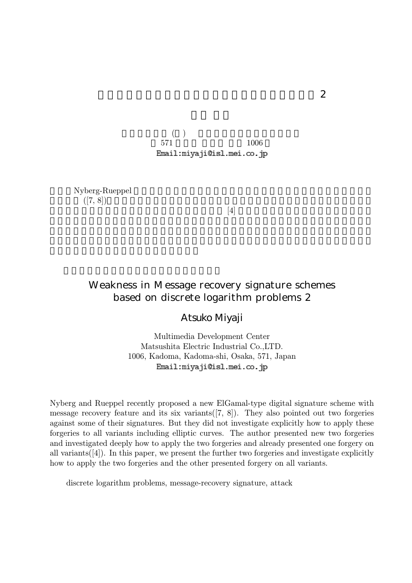$( \ )$ 571 1006 Email:miyaji@isl.mei.co.jp

Nyberg-Rueppel  $([7, 8])$ .

 $[4]$ 

### Weakness in Message recovery signature schemes based on discrete logarithm problems 2

Atsuko Miyaji

Multimedia Development Center Matsushita Electric Industrial Co.,LTD. 1006, Kadoma, Kadoma-shi, Osaka, 571, Japan Email: miyaji@isl.mei.co.jp

Nyberg and Rueppel recently proposed a new ElGamal-type digital signature scheme with message recovery feature and its six variants $([7, 8])$ . They also pointed out two forgeries against some of their signatures. But they did not investigate explicitly how to apply these forgeries to all variants including elliptic curves. The author presented new two forgeries and investigated deeply how to apply the two forgeries and already presented one forgery on all variants([4]). In this paper, we present the further two forgeries and investigate explicitly how to apply the two forgeries and the other presented forgery on all variants.

discrete logarithm problems, message-recovery signature, attack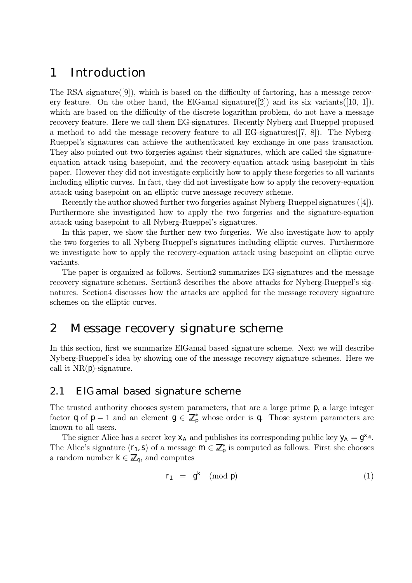## 1 Introduction

The RSA signature( $[9]$ ), which is based on the difficulty of factoring, has a message recovery feature. On the other hand, the ElGamal signature([2]) and its six variants([10, 1]), which are based on the difficulty of the discrete logarithm problem, do not have a message recovery feature. Here we call them EG-signatures. Recently Nyberg and Rueppel proposed a method to add the message recovery feature to all EG-signatures([7, 8]). The Nyberg-Rueppel's signatures can achieve the authenticated key exchange in one pass transaction. They also pointed out two forgeries against their signatures, which are called the signatureequation attack using basepoint, and the recovery-equation attack using basepoint in this paper. However they did not investigate explicitly how to apply these forgeries to all variants including elliptic curves. In fact, they did not investigate how to apply the recovery-equation attack using basepoint on an elliptic curve message recovery scheme.

Recently the author showed further two forgeries against Nyberg-Rueppel signatures ([4]). Furthermore she investigated how to apply the two forgeries and the signature-equation attack using basepoint to all Nyberg-Rueppel's signatures.

In this paper, we show the further new two forgeries. We also investigate how to apply the two forgeries to all Nyberg-Rueppel's signatures including elliptic curves. Furthermore we investigate how to apply the recovery-equation attack using basepoint on elliptic curve variants.

The paper is organized as follows. Section2 summarizes EG-signatures and the message recovery signature schemes. Section3 describes the above attacks for Nyberg-Rueppel's signatures. Section4 discusses how the attacks are applied for the message recovery signature schemes on the elliptic curves.

# 2 Message recovery signature scheme

In this section, first we summarize ElGamal based signature scheme. Next we will describe Nyberg-Rueppel's idea by showing one of the message recovery signature schemes. Here we call it  $NR(p)$ -signature.

### 2.1 ElGamal based signature scheme

The trusted authority chooses system parameters, that are a large prime p, a large integer factor q of  $p-1$  and an element  $g \in \mathbb{Z}_p^*$  whose order is q. Those system parameters are known to all users.

The signer Alice has a secret key  $X_A$  and publishes its corresponding public key  $y_A = g^{X_A}$ . The Alice's signature  $(r_1, s)$  of a message  $m \in \mathbb{Z}_p^*$  is computed as follows. First she chooses a random number  $k \in \mathbb{Z}_q$ , and computes

$$
r_1 = g^k \pmod{p} \tag{1}
$$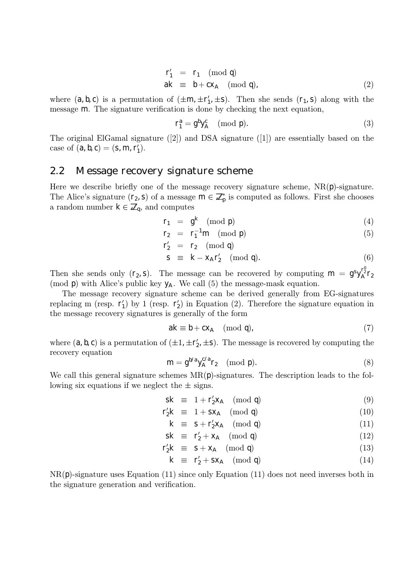$$
r'_1 = r_1 \pmod{q}
$$
  
ak  $\equiv$  b + c $x_A$  (mod q), (2)

where  $(a, b, c)$  is a permutation of  $(\pm m, \pm r_1', \pm s)$ . Then she sends  $(r_1, s)$  along with the message m. The signature verification is done by checking the next equation,

$$
r_1^a = g^b y_A^c \pmod{p}.
$$
 (3)

The original ElGamal signature ([2]) and DSA signature ([1]) are essentially based on the case of  $(a, b, c) = (s, m, r_1').$ 

#### 2.2 Message recovery signature scheme

Here we describe briefly one of the message recovery signature scheme,  $NR(p)$ -signature. The Alice's signature  $(r_2, s)$  of a message  $m \in \mathbb{Z}_p^*$  is computed as follows. First she chooses a random number  $k \in \mathbb{Z}_q$ , and computes

$$
r_1 = g^k \pmod{p} \tag{4}
$$

$$
r_2 = r_1^{-1} m \pmod{p} \tag{5}
$$

$$
\Gamma_2' \ = \ \Gamma_2 \pmod{q}
$$

$$
s \equiv k - x_A r'_2 \pmod{q}.
$$
 (6)

Then she sends only  $(r_2, s)$ . The message can be recovered by computing  $m = g^{s}y_A^{r_2^{0}}r_2$ (mod p) with Alice's public key  $y_A$ . We call (5) the message-mask equation.

The message recovery signature scheme can be derived generally from EG-signatures replacing m (resp.  $\mathsf{r}'_1$ ) by 1 (resp.  $\mathsf{r}'_2$ ) in Equation (2). Therefore the signature equation in the message recovery signatures is generally of the form

$$
ak \equiv b + c x_A \pmod{q},\tag{7}
$$

where  $(a, b, c)$  is a permutation of  $(\pm 1, \pm \mathsf{r}_2', \pm \mathsf{s})$ . The message is recovered by computing the recovery equation

$$
m = g^{b/a} y_A^{c/a} r_2 \pmod{p}.
$$
 (8)

We call this general signature schemes  $MR(p)$ -signatures. The description leads to the following six equations if we neglect the  $\pm$  signs.

$$
sk \equiv 1 + r'_2 x_A \pmod{q} \tag{9}
$$

$$
r_2'k \equiv 1 + sx_A \pmod{q} \tag{10}
$$

$$
k \equiv s + r'_2 x_A \pmod{q} \tag{11}
$$

$$
sk \equiv r'_2 + x_A \pmod{q} \tag{12}
$$

$$
r_2'k \equiv s + x_A \pmod{q} \tag{13}
$$

$$
k \equiv r'_2 + sx_A \pmod{q} \tag{14}
$$

 $NR(p)$ -signature uses Equation (11) since only Equation (11) does not need inverses both in the signature generation and verification.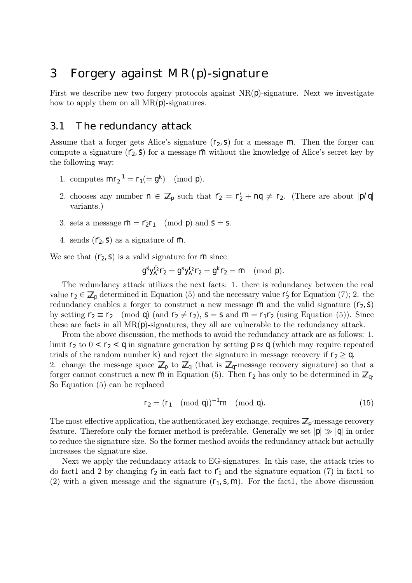# 3 Forgery against MR(p)-signature

First we describe new two forgery protocols against  $NR(p)$ -signature. Next we investigate how to apply them on all  $MR(p)$ -signatures.

### 3.1 The redundancy attack

Assume that a forger gets Alice's signature  $(r_2, s)$  for a message m. Then the forger can compute a signature  $(\tilde{r}_2, \tilde{s})$  for a message  $\tilde{m}$  without the knowledge of Alice's secret key by the following way:

- 1. computes  $mr_2^{-1} = r_1 (= g^k) \pmod{p}$ .
- 2. chooses any number  $n \in \mathbb{Z}_p$  such that  $\tilde{r}_2 = r_2' + nq \neq r_2$ . (There are about  $|p/q|$ variants.)
- 3. sets a message  $\tilde{m} = \tilde{r}_2 r_1 \pmod{p}$  and  $\tilde{s} = s$ .
- 4. sends  $(\tilde{\Gamma}_2, \tilde{\S})$  as a signature of  $\tilde{\Gamma}$ .

We see that  $(\tilde{r}_2, \tilde{s})$  is a valid signature for  $\tilde{m}$  since

$$
g^s y_A^{r_2}r_2^*=g^s y_A^{r_2}r_2^*=g^k r_2^*= \tilde m \pmod{\mathfrak{p}}.
$$

The redundancy attack utilizes the next facts: 1. there is redundancy between the real value  $r_2 \in \mathbb{Z}_p$  determined in Equation (5) and the necessary value  $r_2'$  for Equation (7); 2. the redundancy enables a forger to construct a new message  $\tilde{m}$  and the valid signature  $(\tilde{r}_2, \tilde{s})$ by setting  $\tilde{r}_2 \equiv r_2 \pmod{q}$  (and  $\tilde{r}_2 \neq r_2$ ),  $\tilde{s} = s$  and  $\tilde{m} = r_1 \tilde{r}_2$  (using Equation (5)). Since these are facts in all  $MR(p)$ -signatures, they all are vulnerable to the redundancy attack.

From the above discussion, the methods to avoid the redundancy attack are as follows: 1. limit  $r_2$  to  $0 < r_2 < q$  in signature generation by setting  $p \approx q$  (which may require repeated trials of the random number k) and reject the signature in message recovery if  $r_2 \geq q$ .

2. change the message space  $\mathbb{Z}_p$  to  $\mathbb{Z}_q$  (that is  $\mathbb{Z}_q$ -message recovery signature) so that a forger cannot construct a new  $\tilde{m}$  in Equation (5). Then  $r_2$  has only to be determined in  $\mathbb{Z}_q$ . So Equation (5) can be replaced

$$
\mathsf{r}_2 = (\mathsf{r}_1 \pmod{\mathfrak{q}})^{-1} \mathsf{m} \pmod{\mathfrak{q}}. \tag{15}
$$

The most effective application, the authenticated key exchange, requires  $\mathbb{Z}_p$ -message recovery feature. Therefore only the former method is preferable. Generally we set  $|p| \gg |q|$  in order to reduce the signature size. So the former method avoids the redundancy attack but actually increases the signature size.

Next we apply the redundancy attack to EG-signatures. In this case, the attack tries to do fact1 and 2 by changing  $\tilde{r}_2$  in each fact to  $\tilde{r}_1$  and the signature equation (7) in fact1 to (2) with a given message and the signature  $(r_1, s, m)$ . For the fact1, the above discussion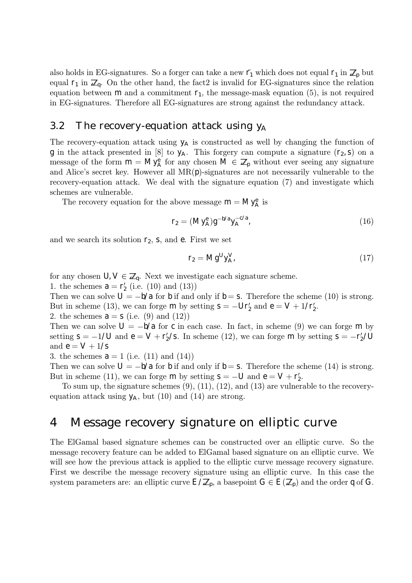also holds in EG-signatures. So a forger can take a new  $\tilde{r}_1$  which does not equal  $r_1$  in  $\mathbb{Z}_p$  but equal  $r_1$  in  $\mathbb{Z}_q$ . On the other hand, the fact2 is invalid for EG-signatures since the relation equation between m and a commitment  $r_1$ , the message-mask equation (5), is not required in EG-signatures. Therefore all EG-signatures are strong against the redundancy attack.

#### 3.2 The recovery-equation attack using  $y_A$

The recovery-equation attack using  $y_A$  is constructed as well by changing the function of g in the attack presented in [8] to  $y_A$ . This forgery can compute a signature  $(r_2, s)$  on a message of the form  $m = My_A^e$  for any chosen  $M \in \mathbb{Z}_p$  without ever seeing any signature and Alice's secret key. However all  $MR(p)$ -signatures are not necessarily vulnerable to the recovery-equation attack. We deal with the signature equation (7) and investigate which schemes are vulnerable.

The recovery equation for the above message  $m = My_A^e$  is

$$
r_2 = (My_A^e)g^{-b/a}y_A^{-c/a}, \qquad (16)
$$

and we search its solution  $r_2$ , s, and e. First we set

$$
r_2 = Mg^U y_A^V, \tag{17}
$$

for any chosen  $U, V \in \mathbb{Z}_q$ . Next we investigate each signature scheme.

1. the schemes  $a = r'_2$  (i.e. (10) and (13))

Then we can solve  $U = -b/a$  for b if and only if  $b = s$ . Therefore the scheme (10) is strong. But in scheme (13), we can forge m by setting  $s = -Ur'_2$  and  $e = V + 1/r'_2$ .

2. the schemes  $a = s$  (i.e. (9) and (12))

Then we can solve  $U = -b/a$  for c in each case. In fact, in scheme (9) we can forge m by setting  $s = -1/U$  and  $e = V + r'_2/s$ . In scheme (12), we can forge m by setting  $s = -r'_2/U$ and  $e = V + 1/s$ 

3. the schemes  $a = 1$  (i.e. (11) and (14))

Then we can solve  $U = -b/a$  for b if and only if  $b = s$ . Therefore the scheme (14) is strong. But in scheme (11), we can forge m by setting  $S = -U$  and  $e = V + r'_2$ .

To sum up, the signature schemes (9), (11), (12), and (13) are vulnerable to the recoveryequation attack using  $y_A$ , but (10) and (14) are strong.

# 4 Message recovery signature on elliptic curve

The ElGamal based signature schemes can be constructed over an elliptic curve. So the message recovery feature can be added to ElGamal based signature on an elliptic curve. We will see how the previous attack is applied to the elliptic curve message recovery signature. First we describe the message recovery signature using an elliptic curve. In this case the system parameters are: an elliptic curve  $E/\mathbb{Z}_p$ , a basepoint  $G \in E(\mathbb{Z}_p)$  and the order q of G.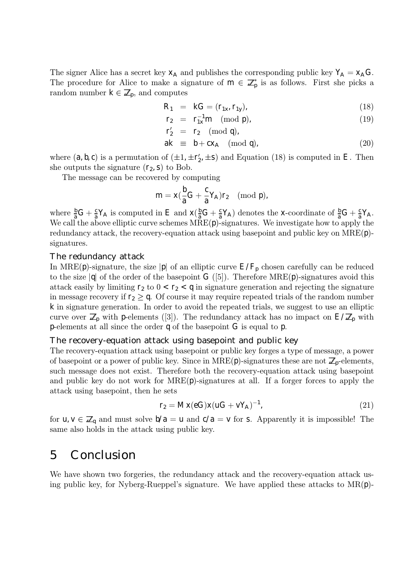The signer Alice has a secret key  $x_A$  and publishes the corresponding public key  $Y_A = x_A G$ . The procedure for Alice to make a signature of  $m \in \mathbb{Z}_p^*$  is as follows. First she picks a random number  $k \in \mathbb{Z}_p$ , and computes

$$
R_1 = kG = (r_{1x}, r_{1y}), \t\t(18)
$$

$$
r_2 = r_{1x}^{-1} m \pmod{p}, \qquad (19)
$$

$$
r'_2 = r_2 \pmod{q},
$$

$$
ak \equiv b + cx_A \pmod{q}, \qquad (20)
$$

where  $(a, b, c)$  is a permutation of  $(\pm 1, \pm r'_2, \pm s)$  and Equation (18) is computed in E. Then she outputs the signature  $(r_2, s)$  to Bob.

The message can be recovered by computing

$$
m=x(\frac{b}{a}G+\frac{c}{a}Y_A)r_2\pmod{p},
$$

where  $\frac{b}{a}G + \frac{c}{a}Y_A$  is computed in E and  $X(\frac{b}{a}G + \frac{c}{a}Y_A)$  denotes the x-coordinate of  $\frac{b}{a}G + \frac{c}{a}Y_A$ . We call the above elliptic curve schemes  $MRE(p)$ -signatures. We investigate how to apply the redundancy attack, the recovery-equation attack using basepoint and public key on  $MRE(p)$ signatures.

#### The redundancy attack

In MRE(p)-signature, the size |p| of an elliptic curve  $E/F_p$  chosen carefully can be reduced to the size  $|q|$  of the order of the basepoint G ([5]). Therefore MRE(p)-signatures avoid this attack easily by limiting  $r_2$  to  $0 < r_2 < q$  in signature generation and rejecting the signature in message recovery if  $r_2 \geq q$ . Of course it may require repeated trials of the random number k in signature generation. In order to avoid the repeated trials, we suggest to use an elliptic curve over  $\mathbb{Z}_p$  with p-elements ([3]). The redundancy attack has no impact on  $E/\mathbb{Z}_p$  with p-elements at all since the order q of the basepoint G is equal to p.

#### The recovery-equation attack using basepoint and public key

The recovery-equation attack using basepoint or public key forges a type of message, a power of basepoint or a power of public key. Since in  $MRE(p)$ -signatures these are not  $\mathbb{Z}_p$ -elements, such message does not exist. Therefore both the recovery-equation attack using basepoint and public key do not work for MRE(p)-signatures at all. If a forger forces to apply the attack using basepoint, then he sets

$$
r_2 = Mx(eG)x(uG + vY_A)^{-1},\tag{21}
$$

for  $u, v \in \mathbb{Z}_q$  and must solve  $b/a = u$  and  $c/a = v$  for s. Apparently it is impossible! The same also holds in the attack using public key.

### 5 Conclusion

We have shown two forgeries, the redundancy attack and the recovery-equation attack using public key, for Nyberg-Rueppel's signature. We have applied these attacks to  $MR(p)$ -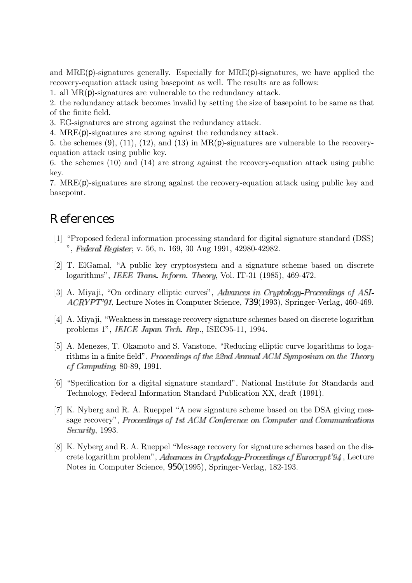and  $MRE(p)$ -signatures generally. Especially for  $MRE(p)$ -signatures, we have applied the recovery-equation attack using basepoint as well. The results are as follows:

1. all MR(p)-signatures are vulnerable to the redundancy attack.

2. the redundancy attack becomes invalid by setting the size of basepoint to be same as that of the finite field.

3. EG-signatures are strong against the redundancy attack.

4. MRE(p)-signatures are strong against the redundancy attack.

5. the schemes (9), (11), (12), and (13) in  $MR(p)$ -signatures are vulnerable to the recoveryequation attack using public key.

6. the schemes (10) and (14) are strong against the recovery-equation attack using public key.

7. MRE(p)-signatures are strong against the recovery-equation attack using public key and basepoint.

# References

- [1] "Proposed federal information processing standard for digital signature standard (DSS) ", Federal Register, v. 56, n. 169, 30 Aug 1991, 42980-42982.
- [2] T. ElGamal, "A public key cryptosystem and a signature scheme based on discrete logarithms", IEEE Trans. Inform. Theory, Vol. IT-31 (1985), 469-472.
- [3] A. Miyaji, "On ordinary elliptic curves", Advances in Cryptology-Proceedings of ASI- $ACRYPT'91$ , Lecture Notes in Computer Science, 739(1993), Springer-Verlag, 460-469.
- [4] A. Miyaji, "Weakness in message recovery signature schemes based on discrete logarithm problems 1", *IEICE Japan Tech. Rep.*, ISEC95-11, 1994.
- [5] A. Menezes, T. Okamoto and S. Vanstone, "Reducing elliptic curve logarithms to logarithms in a finite field", Proceedings of the 22nd Annual ACM Symposium on the Theory of Computing, 80-89, 1991.
- [6] "Specification for a digital signature standard", National Institute for Standards and Technology, Federal Information Standard Publication XX, draft (1991).
- [7] K. Nyberg and R. A. Rueppel "A new signature scheme based on the DSA giving message recovery", Proceedings of 1st ACM Conference on Computer and Communications Security, 1993.
- [8] K. Nyberg and R. A. Rueppel "Message recovery for signature schemes based on the discrete logarithm problem", Advances in Cryptology-Proceedings of Eurocrypt'94, Lecture Notes in Computer Science, 950(1995), Springer-Verlag, 182-193.